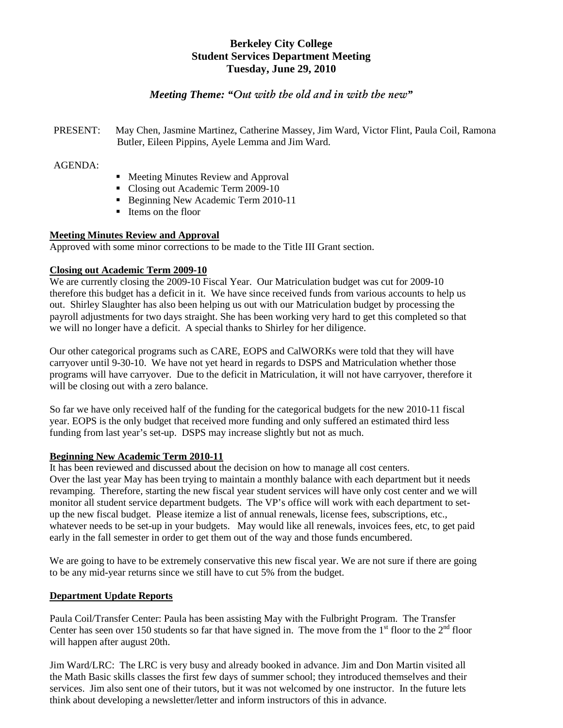# **Berkeley City College Student Services Department Meeting Tuesday, June 29, 2010**

# *Meeting Theme: "Out with the old and in with the new"*

PRESENT: May Chen, Jasmine Martinez, Catherine Massey, Jim Ward, Victor Flint, Paula Coil, Ramona Butler, Eileen Pippins, Ayele Lemma and Jim Ward.

### AGENDA:

- Meeting Minutes Review and Approval
- Closing out Academic Term 2009-10
- Beginning New Academic Term 2010-11
- Items on the floor

### **Meeting Minutes Review and Approval**

Approved with some minor corrections to be made to the Title III Grant section.

## **Closing out Academic Term 2009-10**

We are currently closing the 2009-10 Fiscal Year. Our Matriculation budget was cut for 2009-10 therefore this budget has a deficit in it. We have since received funds from various accounts to help us out. Shirley Slaughter has also been helping us out with our Matriculation budget by processing the payroll adjustments for two days straight. She has been working very hard to get this completed so that we will no longer have a deficit. A special thanks to Shirley for her diligence.

Our other categorical programs such as CARE, EOPS and CalWORKs were told that they will have carryover until 9-30-10. We have not yet heard in regards to DSPS and Matriculation whether those programs will have carryover. Due to the deficit in Matriculation, it will not have carryover, therefore it will be closing out with a zero balance.

So far we have only received half of the funding for the categorical budgets for the new 2010-11 fiscal year. EOPS is the only budget that received more funding and only suffered an estimated third less funding from last year's set-up. DSPS may increase slightly but not as much.

## **Beginning New Academic Term 2010-11**

It has been reviewed and discussed about the decision on how to manage all cost centers. Over the last year May has been trying to maintain a monthly balance with each department but it needs revamping. Therefore, starting the new fiscal year student services will have only cost center and we will monitor all student service department budgets. The VP's office will work with each department to setup the new fiscal budget. Please itemize a list of annual renewals, license fees, subscriptions, etc., whatever needs to be set-up in your budgets. May would like all renewals, invoices fees, etc, to get paid early in the fall semester in order to get them out of the way and those funds encumbered.

We are going to have to be extremely conservative this new fiscal year. We are not sure if there are going to be any mid-year returns since we still have to cut 5% from the budget.

### **Department Update Reports**

Paula Coil/Transfer Center: Paula has been assisting May with the Fulbright Program. The Transfer Center has seen over 150 students so far that have signed in. The move from the  $1<sup>st</sup>$  floor to the  $2<sup>nd</sup>$  floor will happen after august 20th.

Jim Ward/LRC: The LRC is very busy and already booked in advance. Jim and Don Martin visited all the Math Basic skills classes the first few days of summer school; they introduced themselves and their services. Jim also sent one of their tutors, but it was not welcomed by one instructor. In the future lets think about developing a newsletter/letter and inform instructors of this in advance.